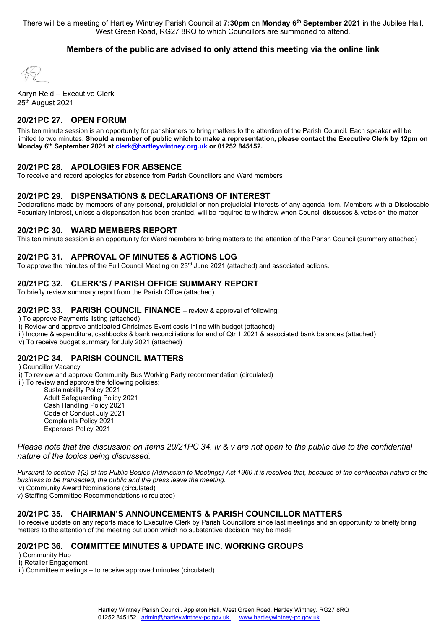There will be a meeting of Hartley Wintney Parish Council at **7:30pm** on **Monday 6th September 2021** in the Jubilee Hall, West Green Road, RG27 8RQ to which Councillors are summoned to attend.

# **Members of the public are advised to only attend this meeting via the online link**

Karyn Reid – Executive Clerk 25th August 2021

# **20/21PC 27. OPEN FORUM**

This ten minute session is an opportunity for parishioners to bring matters to the attention of the Parish Council. Each speaker will be limited to two minutes. **Should a member of public which to make a representation, please contact the Executive Clerk by 12pm on Monday 6th September 2021 a[t clerk@hartleywintney.org.uk](mailto:clerk@hartleywintney.org.uk) or 01252 845152.**

# **20/21PC 28. APOLOGIES FOR ABSENCE**

To receive and record apologies for absence from Parish Councillors and Ward members

# **20/21PC 29. DISPENSATIONS & DECLARATIONS OF INTEREST**

Declarations made by members of any personal, prejudicial or non-prejudicial interests of any agenda item. Members with a Disclosable Pecuniary Interest, unless a dispensation has been granted, will be required to withdraw when Council discusses & votes on the matter

#### **20/21PC 30. WARD MEMBERS REPORT**

This ten minute session is an opportunity for Ward members to bring matters to the attention of the Parish Council (summary attached)

# **20/21PC 31. APPROVAL OF MINUTES & ACTIONS LOG**

To approve the minutes of the Full Council Meeting on  $23<sup>rd</sup>$  June 2021 (attached) and associated actions.

# **20/21PC 32. CLERK'S / PARISH OFFICE SUMMARY REPORT**

To briefly review summary report from the Parish Office (attached)

#### **20/21PC 33. PARISH COUNCIL FINANCE** – review & approval of following:

i) To approve Payments listing (attached)

ii) Review and approve anticipated Christmas Event costs inline with budget (attached)

iii) Income & expenditure, cashbooks & bank reconciliations for end of Qtr 1 2021 & associated bank balances (attached)

iv) To receive budget summary for July 2021 (attached)

# **20/21PC 34. PARISH COUNCIL MATTERS**

i) Councillor Vacancy ii) To review and approve Community Bus Working Party recommendation (circulated) iii) To review and approve the following policies; Sustainability Policy 2021

Adult Safeguarding Policy 2021 Cash Handling Policy 2021 Code of Conduct July 2021 Complaints Policy 2021 Expenses Policy 2021

*Please note that the discussion on items 20/21PC 34. iv & v are not open to the public due to the confidential nature of the topics being discussed.*

*Pursuant to section 1(2) of the Public Bodies (Admission to Meetings) Act 1960 it is resolved that, because of the confidential nature of the business to be transacted, the public and the press leave the meeting.*

iv) Community Award Nominations (circulated)

v) Staffing Committee Recommendations (circulated)

# **20/21PC 35. CHAIRMAN'S ANNOUNCEMENTS & PARISH COUNCILLOR MATTERS**

To receive update on any reports made to Executive Clerk by Parish Councillors since last meetings and an opportunity to briefly bring matters to the attention of the meeting but upon which no substantive decision may be made

# **20/21PC 36. COMMITTEE MINUTES & UPDATE INC. WORKING GROUPS**

i) Community Hub

ii) Retailer Engagement

iii) Committee meetings – to receive approved minutes (circulated)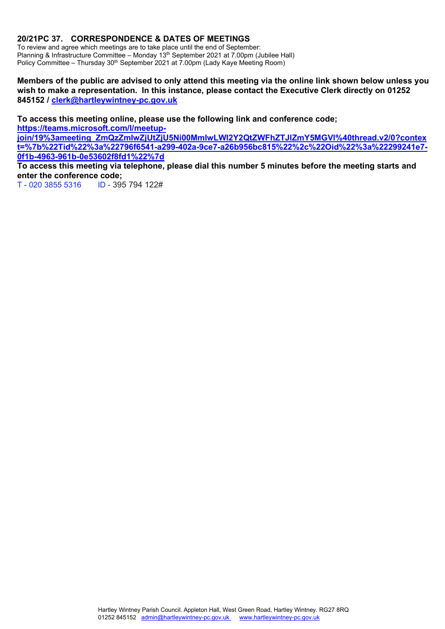# **20/21PC 37. CORRESPONDENCE & DATES OF MEETINGS**

To review and agree which meetings are to take place until the end of September: Planning & Infrastructure Committee – Monday 13<sup>th</sup> September 2021 at 7.00pm (Jubilee Hall) Policy Committee – Thursday 30<sup>th</sup> September 2021 at 7.00pm (Lady Kaye Meeting Room)

# **Members of the public are advised to only attend this meeting via the online link shown below unless you wish to make a representation. In this instance, please contact the Executive Clerk directly on 01252 845152 / [clerk@hartleywintney-pc.gov.uk](mailto:clerk@hartleywintney-pc.gov.uk)**

**To access this meeting online, please use the following link and conference code; [https://teams.microsoft.com/l/meetup-](https://teams.microsoft.com/l/meetup-join/19%3ameeting_ZmQzZmIwZjUtZjU5Ni00MmIwLWI2Y2QtZWFhZTJlZmY5MGVl%40thread.v2/0?context=%7b%22Tid%22%3a%22796f6541-a299-402a-9ce7-a26b956bc815%22%2c%22Oid%22%3a%22299241e7-0f1b-4963-961b-0e53602f8fd1%22%7d)**

**[join/19%3ameeting\\_ZmQzZmIwZjUtZjU5Ni00MmIwLWI2Y2QtZWFhZTJlZmY5MGVl%40thread.v2/0?contex](https://teams.microsoft.com/l/meetup-join/19%3ameeting_ZmQzZmIwZjUtZjU5Ni00MmIwLWI2Y2QtZWFhZTJlZmY5MGVl%40thread.v2/0?context=%7b%22Tid%22%3a%22796f6541-a299-402a-9ce7-a26b956bc815%22%2c%22Oid%22%3a%22299241e7-0f1b-4963-961b-0e53602f8fd1%22%7d) [t=%7b%22Tid%22%3a%22796f6541-a299-402a-9ce7-a26b956bc815%22%2c%22Oid%22%3a%22299241e7-](https://teams.microsoft.com/l/meetup-join/19%3ameeting_ZmQzZmIwZjUtZjU5Ni00MmIwLWI2Y2QtZWFhZTJlZmY5MGVl%40thread.v2/0?context=%7b%22Tid%22%3a%22796f6541-a299-402a-9ce7-a26b956bc815%22%2c%22Oid%22%3a%22299241e7-0f1b-4963-961b-0e53602f8fd1%22%7d) [0f1b-4963-961b-0e53602f8fd1%22%7d](https://teams.microsoft.com/l/meetup-join/19%3ameeting_ZmQzZmIwZjUtZjU5Ni00MmIwLWI2Y2QtZWFhZTJlZmY5MGVl%40thread.v2/0?context=%7b%22Tid%22%3a%22796f6541-a299-402a-9ce7-a26b956bc815%22%2c%22Oid%22%3a%22299241e7-0f1b-4963-961b-0e53602f8fd1%22%7d)**

**To access this meeting via telephone, please dial this number 5 minutes before the meeting starts and enter the conference code;**

T - 020 3855 5316 ID - 395 794 122#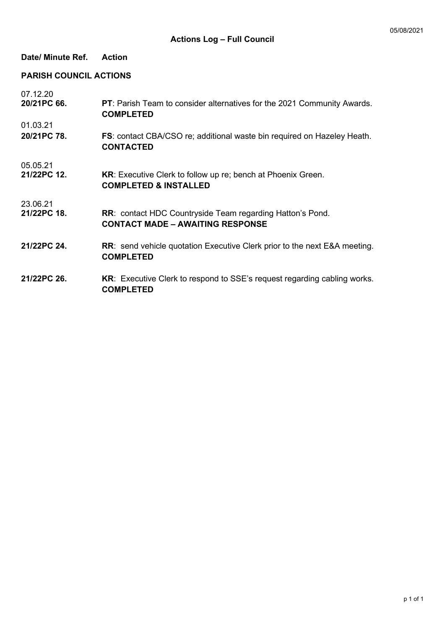# **Date/ Minute Ref. Action**

# **PARISH COUNCIL ACTIONS**

| 07.12.20<br>20/21PC 66. | PT: Parish Team to consider alternatives for the 2021 Community Awards.<br><b>COMPLETED</b>                 |
|-------------------------|-------------------------------------------------------------------------------------------------------------|
| 01.03.21                |                                                                                                             |
| 20/21PC 78.             | <b>FS:</b> contact CBA/CSO re; additional waste bin required on Hazeley Heath.<br><b>CONTACTED</b>          |
| 05.05.21                |                                                                                                             |
| 21/22PC 12.             | <b>KR:</b> Executive Clerk to follow up re; bench at Phoenix Green.<br><b>COMPLETED &amp; INSTALLED</b>     |
| 23.06.21                |                                                                                                             |
| 21/22PC 18.             | <b>RR: contact HDC Countryside Team regarding Hatton's Pond.</b><br><b>CONTACT MADE - AWAITING RESPONSE</b> |
| 21/22PC 24.             | <b>RR:</b> send vehicle quotation Executive Clerk prior to the next E&A meeting.<br><b>COMPLETED</b>        |
| 21/22PC 26.             | <b>KR:</b> Executive Clerk to respond to SSE's request regarding cabling works.<br><b>COMPLETED</b>         |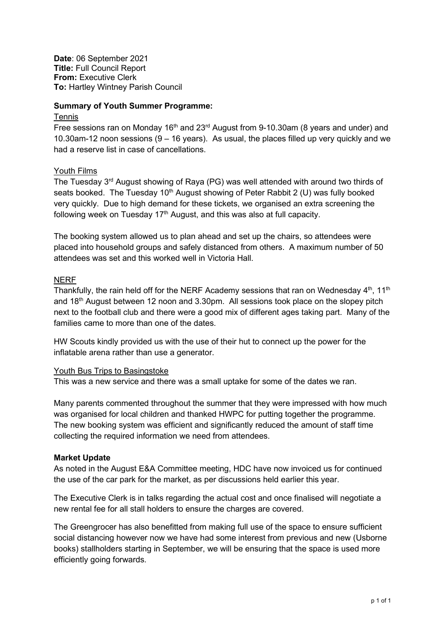**Date**: 06 September 2021 **Title:** Full Council Report **From:** Executive Clerk **To:** Hartley Wintney Parish Council

# **Summary of Youth Summer Programme:**

# **Tennis**

Free sessions ran on Monday 16<sup>th</sup> and 23<sup>rd</sup> August from 9-10.30am (8 years and under) and 10.30am-12 noon sessions (9 – 16 years). As usual, the places filled up very quickly and we had a reserve list in case of cancellations.

# Youth Films

The Tuesday  $3<sup>rd</sup>$  August showing of Raya (PG) was well attended with around two thirds of seats booked. The Tuesday 10<sup>th</sup> August showing of Peter Rabbit 2 (U) was fully booked very quickly. Due to high demand for these tickets, we organised an extra screening the following week on Tuesday 17<sup>th</sup> August, and this was also at full capacity.

The booking system allowed us to plan ahead and set up the chairs, so attendees were placed into household groups and safely distanced from others. A maximum number of 50 attendees was set and this worked well in Victoria Hall.

# **NERF**

Thankfully, the rain held off for the NERF Academy sessions that ran on Wednesday  $4<sup>th</sup>$ , 11<sup>th</sup> and  $18<sup>th</sup>$  August between 12 noon and 3.30pm. All sessions took place on the slopey pitch next to the football club and there were a good mix of different ages taking part. Many of the families came to more than one of the dates.

HW Scouts kindly provided us with the use of their hut to connect up the power for the inflatable arena rather than use a generator.

# Youth Bus Trips to Basingstoke

This was a new service and there was a small uptake for some of the dates we ran.

Many parents commented throughout the summer that they were impressed with how much was organised for local children and thanked HWPC for putting together the programme. The new booking system was efficient and significantly reduced the amount of staff time collecting the required information we need from attendees.

# **Market Update**

As noted in the August E&A Committee meeting, HDC have now invoiced us for continued the use of the car park for the market, as per discussions held earlier this year.

The Executive Clerk is in talks regarding the actual cost and once finalised will negotiate a new rental fee for all stall holders to ensure the charges are covered.

The Greengrocer has also benefitted from making full use of the space to ensure sufficient social distancing however now we have had some interest from previous and new (Usborne books) stallholders starting in September, we will be ensuring that the space is used more efficiently going forwards.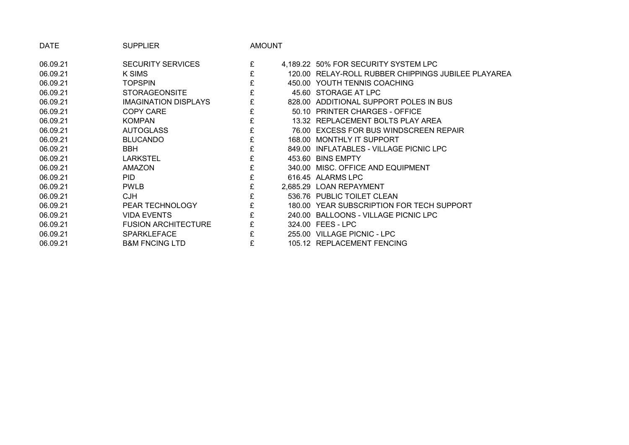| <b>DATE</b> | <b>SUPPLIER</b>            | AMOUNT |                                                     |
|-------------|----------------------------|--------|-----------------------------------------------------|
| 06.09.21    | <b>SECURITY SERVICES</b>   | £      | 4,189.22 50% FOR SECURITY SYSTEM LPC                |
| 06.09.21    | K SIMS                     | £      | 120.00 RELAY-ROLL RUBBER CHIPPINGS JUBILEE PLAYAREA |
| 06.09.21    | <b>TOPSPIN</b>             | £      | 450.00 YOUTH TENNIS COACHING                        |
| 06.09.21    | <b>STORAGEONSITE</b>       | £      | 45.60 STORAGE AT LPC                                |
| 06.09.21    | IMAGINATION DISPLAYS       |        | 828.00 ADDITIONAL SUPPORT POLES IN BUS              |
| 06.09.21    | <b>COPY CARE</b>           | £      | 50.10 PRINTER CHARGES - OFFICE                      |
| 06.09.21    | <b>KOMPAN</b>              | £      | 13.32 REPLACEMENT BOLTS PLAY AREA                   |
| 06.09.21    | <b>AUTOGLASS</b>           |        | 76.00 EXCESS FOR BUS WINDSCREEN REPAIR              |
| 06.09.21    | <b>BLUCANDO</b>            | £      | 168.00 MONTHLY IT SUPPORT                           |
| 06.09.21    | <b>BBH</b>                 | £      | 849.00 INFLATABLES - VILLAGE PICNIC LPC             |
| 06.09.21    | <b>LARKSTEL</b>            | £      | 453.60 BINS EMPTY                                   |
| 06.09.21    | <b>AMAZON</b>              | £      | 340.00 MISC, OFFICE AND EQUIPMENT                   |
| 06.09.21    | <b>PID</b>                 | £      | 616.45 ALARMS LPC                                   |
| 06.09.21    | <b>PWLB</b>                | £      | 2,685.29 LOAN REPAYMENT                             |
| 06.09.21    | <b>CJH</b>                 | £      | 536.76 PUBLIC TOILET CLEAN                          |
| 06.09.21    | PEAR TECHNOLOGY            | £      | 180.00 YEAR SUBSCRIPTION FOR TECH SUPPORT           |
| 06.09.21    | <b>VIDA EVENTS</b>         | £      | 240.00 BALLOONS - VILLAGE PICNIC LPC                |
| 06.09.21    | <b>FUSION ARCHITECTURE</b> |        | 324.00 FEES - LPC                                   |
| 06.09.21    | <b>SPARKLEFACE</b>         | £      | 255.00 VILLAGE PICNIC - LPC                         |
| 06.09.21    | <b>B&amp;M FNCING LTD</b>  | £      | 105.12 REPLACEMENT FENCING                          |
|             |                            |        |                                                     |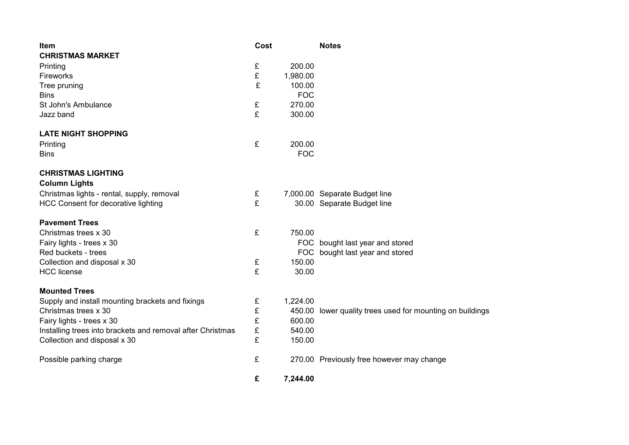| <b>Item</b>                                                | Cost |            | <b>Notes</b>                                       |
|------------------------------------------------------------|------|------------|----------------------------------------------------|
| <b>CHRISTMAS MARKET</b>                                    |      |            |                                                    |
| Printing                                                   | £    | 200.00     |                                                    |
| Fireworks                                                  |      | 1,980.00   |                                                    |
| Tree pruning                                               | £    | 100.00     |                                                    |
| <b>Bins</b>                                                |      | <b>FOC</b> |                                                    |
| St John's Ambulance                                        | £    | 270.00     |                                                    |
| Jazz band                                                  | £    | 300.00     |                                                    |
| <b>LATE NIGHT SHOPPING</b>                                 |      |            |                                                    |
| Printing                                                   | £    | 200.00     |                                                    |
| <b>Bins</b>                                                |      | <b>FOC</b> |                                                    |
| <b>CHRISTMAS LIGHTING</b>                                  |      |            |                                                    |
| <b>Column Lights</b>                                       |      |            |                                                    |
| Christmas lights - rental, supply, removal                 | £    |            | 7,000.00 Separate Budget line                      |
| <b>HCC Consent for decorative lighting</b>                 | £    |            | 30.00 Separate Budget line                         |
| <b>Pavement Trees</b>                                      |      |            |                                                    |
| Christmas trees x 30                                       | £    | 750.00     |                                                    |
| Fairy lights - trees x 30                                  |      |            | FOC bought last year and stored                    |
| Red buckets - trees                                        |      |            | FOC bought last year and stored                    |
| Collection and disposal x 30                               | £    | 150.00     |                                                    |
| <b>HCC</b> license                                         | £    | 30.00      |                                                    |
| <b>Mounted Trees</b>                                       |      |            |                                                    |
| Supply and install mounting brackets and fixings           | £    | 1,224.00   |                                                    |
| Christmas trees x 30                                       | £    | 450.00     | lower quality trees used for mounting on buildings |
| Fairy lights - trees x 30                                  | £    | 600.00     |                                                    |
| Installing trees into brackets and removal after Christmas | £    | 540.00     |                                                    |
| Collection and disposal x 30                               | £    | 150.00     |                                                    |
| Possible parking charge                                    | £    |            | 270.00 Previously free however may change          |
|                                                            | £    | 7,244.00   |                                                    |